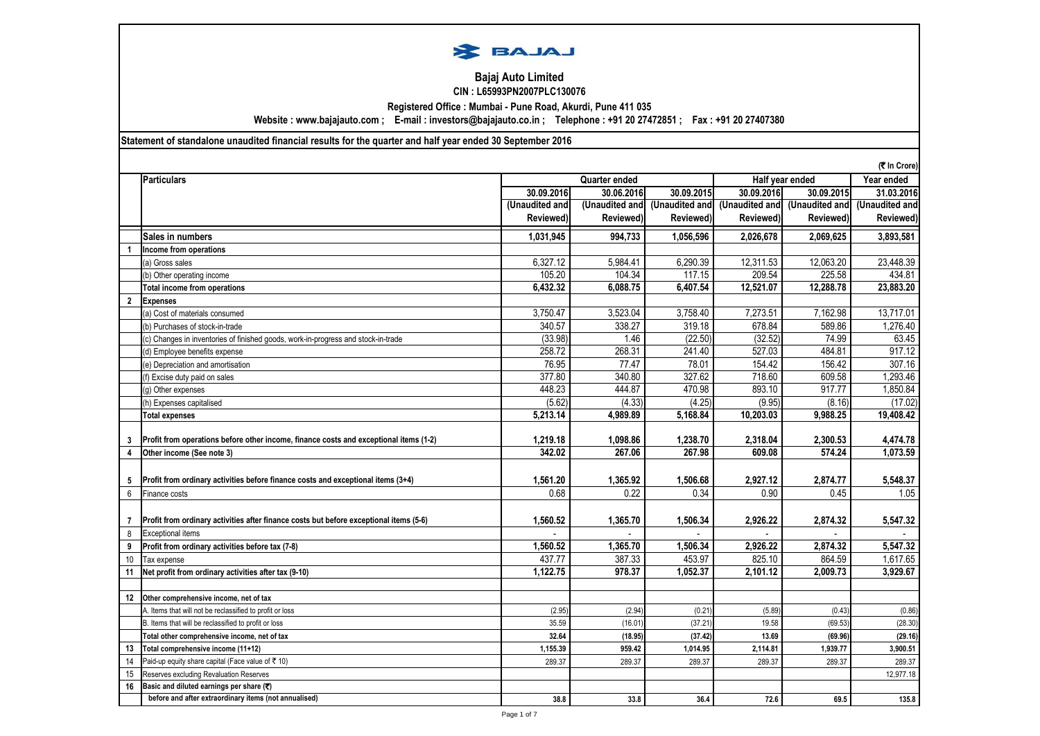

# **Bajaj Auto Limited CIN : L65993PN2007PLC130076**

**Registered Office : Mumbai - Pune Road, Akurdi, Pune 411 035**

**Website : www.bajajauto.com ; E-mail : investors@bajajauto.co.in ; Telephone : +91 20 27472851 ; Fax : +91 20 27407380**

## **Statement of standalone unaudited financial results for the quarter and half year ended 30 September 2016**

|              | (₹ In Crore)                                                                           |                |                |            |            |                                              |                       |  |
|--------------|----------------------------------------------------------------------------------------|----------------|----------------|------------|------------|----------------------------------------------|-----------------------|--|
|              | <b>Particulars</b>                                                                     | Quarter ended  |                |            |            | Half year ended                              |                       |  |
|              |                                                                                        | 30.09.2016     | 30.06.2016     | 30.09.2015 | 30.09.2016 | 30.09.2015                                   | 31.03.2016            |  |
|              |                                                                                        | (Unaudited and | (Unaudited and |            |            | (Unaudited and (Unaudited and (Unaudited and | (Unaudited and        |  |
|              |                                                                                        | Reviewed)      | Reviewed)      | Reviewed)  | Reviewed)  | Reviewed)                                    | Reviewed)             |  |
|              | Sales in numbers                                                                       | 1.031.945      | 994,733        | 1.056.596  | 2.026.678  | 2.069.625                                    | 3,893,581             |  |
|              | Income from operations                                                                 |                |                |            |            |                                              |                       |  |
|              | (a) Gross sales                                                                        | 6,327.12       | 5,984.41       | 6,290.39   | 12,311.53  | 12,063.20                                    | 23,448.39             |  |
|              | (b) Other operating income                                                             | 105.20         | 104.34         | 117.15     | 209.54     | 225.58                                       | 434.81                |  |
|              | <b>Total income from operations</b>                                                    | 6,432.32       | 6,088.75       | 6,407.54   | 12,521.07  | 12,288.78                                    | 23,883.20             |  |
| $\mathbf{2}$ | <b>Expenses</b>                                                                        |                |                |            |            |                                              |                       |  |
|              | (a) Cost of materials consumed                                                         | 3,750.47       | 3,523.04       | 3,758.40   | 7.273.51   | 7,162.98                                     | 13,717.01             |  |
|              | (b) Purchases of stock-in-trade                                                        | 340.57         | 338.27         | 319.18     | 678.84     | 589.86                                       | 1,276.40              |  |
|              | (c) Changes in inventories of finished goods, work-in-progress and stock-in-trade      | (33.98)        | 1.46           | (22.50)    | (32.52)    | 74.99                                        | 63.45                 |  |
|              | (d) Employee benefits expense                                                          | 258.72         | 268.31         | 241.40     | 527.03     | 484.81                                       | 917.12                |  |
|              | (e) Depreciation and amortisation                                                      | 76.95          | 77.47          | 78.01      | 154.42     | 156.42                                       | 307.16                |  |
|              | (f) Excise duty paid on sales                                                          | 377.80         | 340.80         | 327.62     | 718.60     | 609.58                                       | 1,293.46              |  |
|              | (g) Other expenses                                                                     | 448.23         | 444.87         | 470.98     | 893.10     | 917.77                                       | 1,850.84              |  |
|              | (h) Expenses capitalised                                                               | (5.62)         | (4.33)         | (4.25)     | (9.95)     | (8.16)                                       | (17.02)               |  |
|              | <b>Total expenses</b>                                                                  | 5,213.14       | 4,989.89       | 5,168.84   | 10,203.03  | 9,988.25                                     | 19,408.42             |  |
|              |                                                                                        |                |                |            |            |                                              |                       |  |
| 3            | Profit from operations before other income, finance costs and exceptional items (1-2)  | 1,219.18       | 1,098.86       | 1,238.70   | 2,318.04   | 2,300.53                                     | 4,474.78              |  |
| 4            | Other income (See note 3)                                                              | 342.02         | 267.06         | 267.98     | 609.08     | 574.24                                       | $\overline{1,073.59}$ |  |
|              |                                                                                        |                |                |            |            |                                              |                       |  |
| 5            | Profit from ordinary activities before finance costs and exceptional items (3+4)       | 1,561.20       | 1,365.92       | 1,506.68   | 2,927.12   | 2,874.77                                     | 5,548.37              |  |
| 6            | Finance costs                                                                          | 0.68           | 0.22           | 0.34       | 0.90       | 0.45                                         | 1.05                  |  |
|              |                                                                                        |                |                |            |            |                                              |                       |  |
| 7            | Profit from ordinary activities after finance costs but before exceptional items (5-6) | 1,560.52       | 1,365.70       | 1,506.34   | 2,926.22   | 2,874.32                                     | 5,547.32              |  |
| 8            | <b>Exceptional items</b>                                                               |                |                |            |            |                                              |                       |  |
| 9            | Profit from ordinary activities before tax (7-8)                                       | 1.560.52       | 1.365.70       | 1.506.34   | 2.926.22   | 2,874.32                                     | 5.547.32              |  |
| 10           | Tax expense                                                                            | 437.77         | 387.33         | 453.97     | 825.10     | 864.59                                       | 1,617.65              |  |
| 11           | Net profit from ordinary activities after tax (9-10)                                   | 1,122.75       | 978.37         | 1.052.37   | 2,101.12   | 2,009.73                                     | 3,929.67              |  |
|              |                                                                                        |                |                |            |            |                                              |                       |  |
| 12           | Other comprehensive income, net of tax                                                 |                |                |            |            |                                              |                       |  |
|              | A. Items that will not be reclassified to profit or loss                               | (2.95)         | (2.94)         | (0.21)     | (5.89)     | (0.43)                                       | (0.86)                |  |
|              | B. Items that will be reclassified to profit or loss                                   | 35.59          | (16.01)        | (37.21)    | 19.58      | (69.53)                                      | (28.30)               |  |
|              | Total other comprehensive income, net of tax                                           | 32.64          | (18.95)        | (37.42)    | 13.69      | (69.96)                                      | (29.16)               |  |
| 13           | Total comprehensive income (11+12)                                                     | 1,155.39       | 959.42         | 1,014.95   | 2,114.81   | 1,939.77                                     | 3,900.51              |  |
| 14           | Paid-up equity share capital (Face value of ₹ 10)                                      | 289.37         | 289.37         | 289.37     | 289.37     | 289.37                                       | 289.37                |  |
| 15           | Reserves excluding Revaluation Reserves                                                |                |                |            |            |                                              | 12,977.18             |  |
| 16           | Basic and diluted earnings per share (₹)                                               |                |                |            |            |                                              |                       |  |
|              | before and after extraordinary items (not annualised)                                  | 38.8           | 33.8           | 36.4       | 72.6       | 69.5                                         | 135.8                 |  |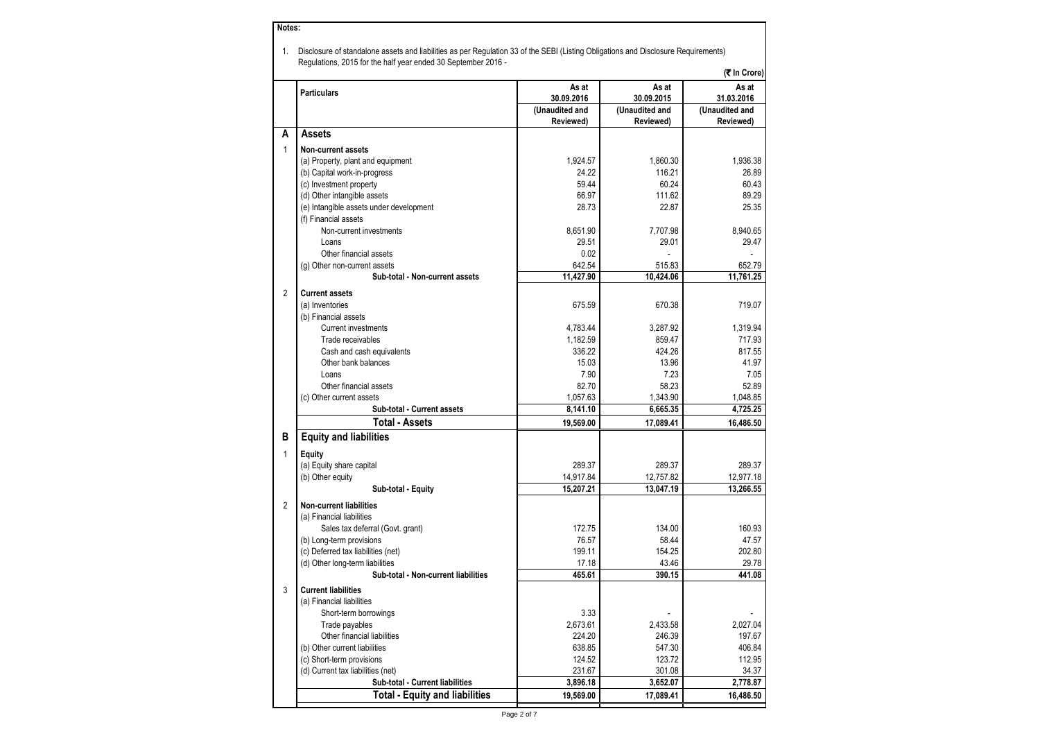#### **Notes:**

1. Disclosure of standalone assets and liabilities as per Regulation 33 of the SEBI (Listing Obligations and Disclosure Requirements) Regulations, 2015 for the half year ended 30 September 2016 -

|                |                                         |                |                | (₹ In Crore)   |
|----------------|-----------------------------------------|----------------|----------------|----------------|
|                | <b>Particulars</b>                      | As at          | As at          | As at          |
|                |                                         | 30.09.2016     | 30.09.2015     | 31.03.2016     |
|                |                                         | (Unaudited and | (Unaudited and | (Unaudited and |
|                |                                         | Reviewed)      | Reviewed)      | Reviewed)      |
| A              | Assets                                  |                |                |                |
| $\mathbf{1}$   | Non-current assets                      |                |                |                |
|                | (a) Property, plant and equipment       | 1.924.57       | 1.860.30       | 1.936.38       |
|                | (b) Capital work-in-progress            | 24.22          | 116.21         | 26.89          |
|                | (c) Investment property                 | 59.44          | 60.24          | 60.43          |
|                | (d) Other intangible assets             | 66.97          | 111.62         | 89.29          |
|                | (e) Intangible assets under development | 28.73          | 22.87          | 25.35          |
|                | (f) Financial assets                    |                |                |                |
|                | Non-current investments                 | 8,651.90       | 7,707.98       | 8,940.65       |
|                | Loans                                   | 29.51          | 29.01          | 29.47          |
|                | Other financial assets                  | 0.02           |                |                |
|                | (g) Other non-current assets            | 642.54         | 515.83         | 652.79         |
|                | Sub-total - Non-current assets          | 11,427.90      | 10,424.06      | 11,761.25      |
| $\overline{2}$ | <b>Current assets</b>                   |                |                |                |
|                | (a) Inventories                         | 675.59         | 670.38         | 719.07         |
|                | (b) Financial assets                    |                |                |                |
|                | <b>Current investments</b>              | 4,783.44       | 3,287.92       | 1,319.94       |
|                | Trade receivables                       | 1,182.59       | 859.47         | 717.93         |
|                | Cash and cash equivalents               | 336.22         | 424.26         | 817.55         |
|                | Other bank balances                     | 15.03          | 13.96          | 41.97          |
|                | Loans                                   | 7.90           | 7.23           | 7.05           |
|                | Other financial assets                  | 82.70          | 58.23          | 52.89          |
|                | (c) Other current assets                | 1,057.63       | 1,343.90       | 1,048.85       |
|                | Sub-total - Current assets              | 8,141.10       | 6,665.35       | 4,725.25       |
|                | <b>Total - Assets</b>                   | 19,569.00      | 17,089.41      | 16,486.50      |
| В              | <b>Equity and liabilities</b>           |                |                |                |
|                |                                         |                |                |                |
| $\mathbf{1}$   | Equity                                  |                |                |                |
|                | (a) Equity share capital                | 289.37         | 289.37         | 289.37         |
|                | (b) Other equity                        | 14,917.84      | 12,757.82      | 12,977.18      |
|                | Sub-total - Equity                      | 15,207.21      | 13,047.19      | 13,266.55      |
| $\overline{2}$ | <b>Non-current liabilities</b>          |                |                |                |
|                | (a) Financial liabilities               |                |                |                |
|                | Sales tax deferral (Govt. grant)        | 172.75         | 134.00         | 160.93         |
|                | (b) Long-term provisions                | 76.57          | 58.44          | 47.57          |
|                | (c) Deferred tax liabilities (net)      | 199.11         | 154.25         | 202.80         |
|                | (d) Other long-term liabilities         | 17.18          | 43.46          | 29.78          |
|                | Sub-total - Non-current liabilities     | 465.61         | 390.15         | 441.08         |
| 3              | <b>Current liabilities</b>              |                |                |                |
|                | (a) Financial liabilities               |                |                |                |
|                | Short-term borrowings                   | 3.33           |                |                |
|                | Trade payables                          | 2,673.61       | 2,433.58       | 2,027.04       |
|                | Other financial liabilities             | 224.20         | 246.39         | 197.67         |
|                | (b) Other current liabilities           | 638.85         | 547.30         | 406.84         |
|                | (c) Short-term provisions               | 124.52         | 123.72         | 112.95         |
|                | (d) Current tax liabilities (net)       | 231.67         | 301.08         | 34.37          |
|                | Sub-total - Current liabilities         | 3,896.18       | 3.652.07       | 2,778.87       |
|                | <b>Total - Equity and liabilities</b>   | 19,569.00      | 17.089.41      | 16.486.50      |
|                |                                         |                |                |                |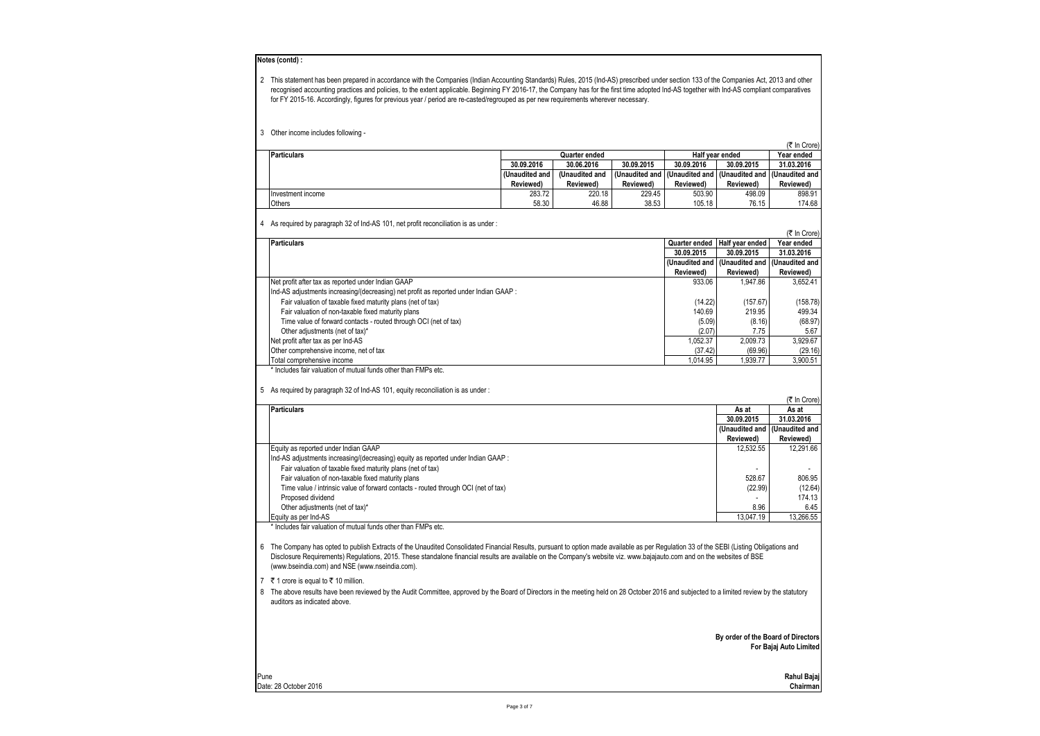| Notes (contd) :<br>2 This statement has been prepared in accordance with the Companies (Indian Accounting Standards) Rules, 2015 (Ind-AS) prescribed under section 133 of the Companies Act, 2013 and other<br>recognised accounting practices and policies, to the extent applicable. Beginning FY 2016-17, the Company has for the first time adopted Ind-AS together with Ind-AS compliant comparatives<br>for FY 2015-16. Accordingly, figures for previous year / period are re-casted/regrouped as per new requirements wherever necessary.                                                                                                                                                                                                               |                             |                             |                             |                             |                                              |                             |
|-----------------------------------------------------------------------------------------------------------------------------------------------------------------------------------------------------------------------------------------------------------------------------------------------------------------------------------------------------------------------------------------------------------------------------------------------------------------------------------------------------------------------------------------------------------------------------------------------------------------------------------------------------------------------------------------------------------------------------------------------------------------|-----------------------------|-----------------------------|-----------------------------|-----------------------------|----------------------------------------------|-----------------------------|
| 3 Other income includes following -                                                                                                                                                                                                                                                                                                                                                                                                                                                                                                                                                                                                                                                                                                                             |                             |                             |                             |                             |                                              |                             |
| <b>Particulars</b>                                                                                                                                                                                                                                                                                                                                                                                                                                                                                                                                                                                                                                                                                                                                              |                             |                             |                             |                             |                                              | (そ In Crore)<br>Year ended  |
|                                                                                                                                                                                                                                                                                                                                                                                                                                                                                                                                                                                                                                                                                                                                                                 | 30.09.2016                  | Quarter ended<br>30.06.2016 | 30.09.2015                  | 30.09.2016                  | Half year ended<br>30.09.2015                | 31.03.2016                  |
|                                                                                                                                                                                                                                                                                                                                                                                                                                                                                                                                                                                                                                                                                                                                                                 | (Unaudited and<br>Reviewed) | (Unaudited and<br>Reviewed) | (Unaudited and<br>Reviewed) | Reviewed)                   | (Unaudited and   (Unaudited and<br>Reviewed) | (Unaudited and<br>Reviewed) |
| Investment income<br>Others                                                                                                                                                                                                                                                                                                                                                                                                                                                                                                                                                                                                                                                                                                                                     | 283.72<br>58.30             | 220.18<br>46.88             | 229.45<br>38.53             | 503.90<br>105.18            | 498.09<br>76.15                              | 898.91<br>174.68            |
| 4 As required by paragraph 32 of Ind-AS 101, net profit reconciliation is as under:                                                                                                                                                                                                                                                                                                                                                                                                                                                                                                                                                                                                                                                                             |                             |                             |                             |                             |                                              |                             |
|                                                                                                                                                                                                                                                                                                                                                                                                                                                                                                                                                                                                                                                                                                                                                                 |                             |                             |                             |                             |                                              | (そ In Crore)                |
| <b>Particulars</b>                                                                                                                                                                                                                                                                                                                                                                                                                                                                                                                                                                                                                                                                                                                                              |                             |                             |                             | Quarter ended<br>30.09.2015 | Half year ended<br>30.09.2015                | Year ended<br>31.03.2016    |
|                                                                                                                                                                                                                                                                                                                                                                                                                                                                                                                                                                                                                                                                                                                                                                 |                             |                             |                             | (Unaudited and              | (Unaudited and                               | (Unaudited and              |
|                                                                                                                                                                                                                                                                                                                                                                                                                                                                                                                                                                                                                                                                                                                                                                 |                             |                             |                             | Reviewed)                   | Reviewed)                                    | Reviewed)                   |
| Net profit after tax as reported under Indian GAAP                                                                                                                                                                                                                                                                                                                                                                                                                                                                                                                                                                                                                                                                                                              |                             |                             |                             | 933.06                      | 1,947.86                                     | 3,652.41                    |
| Ind-AS adjustments increasing/(decreasing) net profit as reported under Indian GAAP :                                                                                                                                                                                                                                                                                                                                                                                                                                                                                                                                                                                                                                                                           |                             |                             |                             |                             |                                              |                             |
| Fair valuation of taxable fixed maturity plans (net of tax)                                                                                                                                                                                                                                                                                                                                                                                                                                                                                                                                                                                                                                                                                                     |                             |                             |                             | (14.22)                     | (157.67)                                     | (158.78)                    |
| Fair valuation of non-taxable fixed maturity plans                                                                                                                                                                                                                                                                                                                                                                                                                                                                                                                                                                                                                                                                                                              |                             |                             |                             | 140.69                      | 219.95                                       | 499.34                      |
| Time value of forward contacts - routed through OCI (net of tax)                                                                                                                                                                                                                                                                                                                                                                                                                                                                                                                                                                                                                                                                                                |                             |                             |                             | (5.09)                      | (8.16)                                       | (68.97)                     |
| Other adjustments (net of tax)*                                                                                                                                                                                                                                                                                                                                                                                                                                                                                                                                                                                                                                                                                                                                 |                             |                             |                             | (2.07)                      | 7.75                                         | 5.67                        |
| Net profit after tax as per Ind-AS                                                                                                                                                                                                                                                                                                                                                                                                                                                                                                                                                                                                                                                                                                                              |                             |                             |                             | 1,052.37                    | 2,009.73                                     | 3,929.67                    |
| Other comprehensive income, net of tax<br>Total comprehensive income                                                                                                                                                                                                                                                                                                                                                                                                                                                                                                                                                                                                                                                                                            |                             |                             |                             | (37.42)<br>1,014.95         | (69.96)<br>1,939.77                          | (29.16)<br>3,900.51         |
| <b>Particulars</b>                                                                                                                                                                                                                                                                                                                                                                                                                                                                                                                                                                                                                                                                                                                                              |                             |                             |                             |                             | As at                                        | (₹ In Crore)<br>As at       |
|                                                                                                                                                                                                                                                                                                                                                                                                                                                                                                                                                                                                                                                                                                                                                                 |                             |                             |                             |                             | 30.09.2015                                   | 31.03.2016                  |
|                                                                                                                                                                                                                                                                                                                                                                                                                                                                                                                                                                                                                                                                                                                                                                 |                             |                             |                             |                             | (Unaudited and                               | (Unaudited and              |
| Equity as reported under Indian GAAP                                                                                                                                                                                                                                                                                                                                                                                                                                                                                                                                                                                                                                                                                                                            |                             |                             |                             |                             | Reviewed)<br>12,532.55                       | Reviewed)<br>12,291.66      |
| Ind-AS adjustments increasing/(decreasing) equity as reported under Indian GAAP :<br>Fair valuation of taxable fixed maturity plans (net of tax)                                                                                                                                                                                                                                                                                                                                                                                                                                                                                                                                                                                                                |                             |                             |                             |                             |                                              |                             |
| Fair valuation of non-taxable fixed maturity plans                                                                                                                                                                                                                                                                                                                                                                                                                                                                                                                                                                                                                                                                                                              |                             |                             |                             |                             | 528.67                                       | 806.95                      |
| Time value / intrinsic value of forward contacts - routed through OCI (net of tax)                                                                                                                                                                                                                                                                                                                                                                                                                                                                                                                                                                                                                                                                              |                             |                             |                             |                             | (22.99)                                      | (12.64)                     |
| Proposed dividend                                                                                                                                                                                                                                                                                                                                                                                                                                                                                                                                                                                                                                                                                                                                               |                             |                             |                             |                             |                                              | 174.13                      |
| Other adjustments (net of tax)*                                                                                                                                                                                                                                                                                                                                                                                                                                                                                                                                                                                                                                                                                                                                 |                             |                             |                             |                             | 8.96                                         | 6.45                        |
| Equity as per Ind-AS                                                                                                                                                                                                                                                                                                                                                                                                                                                                                                                                                                                                                                                                                                                                            |                             |                             |                             |                             | 13,047.19                                    | 13,266.55                   |
| * Includes fair valuation of mutual funds other than FMPs etc.<br>6 The Company has opted to publish Extracts of the Unaudited Consolidated Financial Results, pursuant to option made available as per Regulation 33 of the SEBI (Listing Obligations and<br>Disclosure Requirements) Requlations, 2015. These standalone financial results are available on the Company's website viz. www.bajajauto.com and on the websites of BSE<br>(www.bseindia.com) and NSE (www.nseindia.com).<br>7 ₹ 1 crore is equal to ₹ 10 million.<br>8 The above results have been reviewed by the Audit Committee, approved by the Board of Directors in the meeting held on 28 October 2016 and subjected to a limited review by the statutory<br>auditors as indicated above. |                             |                             |                             |                             |                                              |                             |
|                                                                                                                                                                                                                                                                                                                                                                                                                                                                                                                                                                                                                                                                                                                                                                 |                             |                             |                             |                             | By order of the Board of Directors           | For Bajaj Auto Limited      |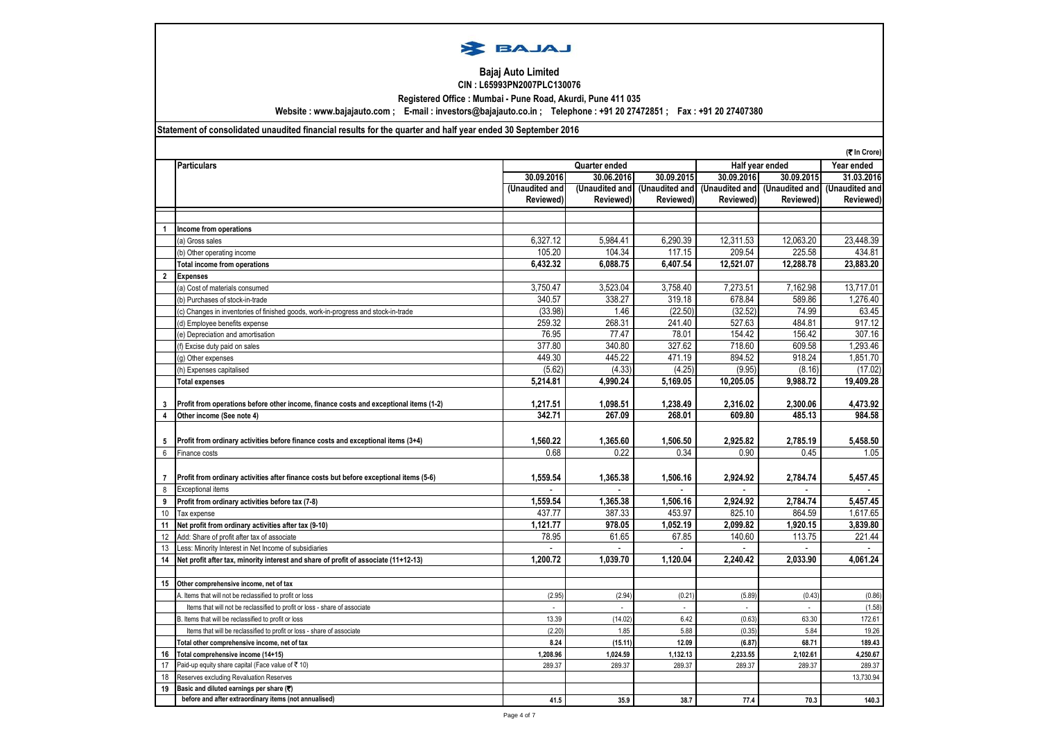

### **Bajaj Auto Limited CIN : L65993PN2007PLC130076**

**Registered Office : Mumbai - Pune Road, Akurdi, Pune 411 035**

**Website : www.bajajauto.com ; E-mail : investors@bajajauto.co.in ; Telephone : +91 20 27472851 ; Fax : +91 20 27407380**

# **Statement of consolidated unaudited financial results for the quarter and half year ended 30 September 2016**

|                |                                                                                        |                |                |                   |                | (₹ In Crore)    |                |
|----------------|----------------------------------------------------------------------------------------|----------------|----------------|-------------------|----------------|-----------------|----------------|
|                | <b>Particulars</b>                                                                     | Quarter ended  |                |                   |                | Half year ended | Year ended     |
|                |                                                                                        | 30.09.2016     | 30.06.2016     | 30.09.2015        | 30.09.2016     | 30.09.2015      | 31.03.2016     |
|                |                                                                                        | (Unaudited and | (Unaudited and | (Unaudited and    | (Unaudited and | (Unaudited and  | (Unaudited and |
|                |                                                                                        | Reviewed)      | Reviewed)      | <b>Reviewed</b> ) | Reviewed)      | Reviewed)       | Reviewed)      |
|                |                                                                                        |                |                |                   |                |                 |                |
|                | Income from operations                                                                 |                |                |                   |                |                 |                |
|                | (a) Gross sales                                                                        | 6,327.12       | 5,984.41       | 6,290.39          | 12,311.53      | 12,063.20       | 23,448.39      |
|                | (b) Other operating income                                                             | 105.20         | 104.34         | 117.15            | 209.54         | 225.58          | 434.81         |
|                | <b>Total income from operations</b>                                                    | 6.432.32       | 6,088.75       | 6.407.54          | 12,521.07      | 12,288.78       | 23,883.20      |
| $\overline{2}$ | <b>Expenses</b>                                                                        |                |                |                   |                |                 |                |
|                | (a) Cost of materials consumed                                                         | 3.750.47       | 3,523.04       | 3,758.40          | 7,273.51       | 7,162.98        | 13,717.01      |
|                | (b) Purchases of stock-in-trade                                                        | 340.57         | 338.27         | 319.18            | 678.84         | 589.86          | 1.276.40       |
|                | (c) Changes in inventories of finished goods, work-in-progress and stock-in-trade      | (33.98)        | 1.46           | (22.50)           | (32.52)        | 74.99           | 63.45          |
|                | (d) Employee benefits expense                                                          | 259.32         | 268.31         | 241.40            | 527.63         | 484.81          | 917.12         |
|                | (e) Depreciation and amortisation                                                      | 76.95          | 77.47          | 78.01             | 154.42         | 156.42          | 307.16         |
|                | (f) Excise duty paid on sales                                                          | 377.80         | 340.80         | 327.62            | 718.60         | 609.58          | 1,293.46       |
|                | (g) Other expenses                                                                     | 449.30         | 445.22         | 471.19            | 894.52         | 918.24          | 1,851.70       |
|                | (h) Expenses capitalised                                                               | (5.62)         | (4.33)         | (4.25)            | (9.95)         | (8.16)          | (17.02)        |
|                | <b>Total expenses</b>                                                                  | 5,214.81       | 4,990.24       | 5,169.05          | 10,205.05      | 9,988.72        | 19,409.28      |
|                |                                                                                        |                |                |                   |                |                 |                |
| 3              | Profit from operations before other income, finance costs and exceptional items (1-2)  | 1,217.51       | 1,098.51       | 1.238.49          | 2,316.02       | 2.300.06        | 4,473.92       |
| $\overline{4}$ | Other income (See note 4)                                                              | 342.71         | 267.09         | 268.01            | 609.80         | 485.13          | 984.58         |
|                |                                                                                        |                |                |                   |                |                 |                |
| 5              | Profit from ordinary activities before finance costs and exceptional items (3+4)       | 1,560.22       | 1,365.60       | 1,506.50          | 2,925.82       | 2,785.19        | 5,458.50       |
| 6              | Finance costs                                                                          | 0.68           | 0.22           | 0.34              | 0.90           | 0.45            | 1.05           |
|                |                                                                                        |                |                |                   |                |                 |                |
| $\overline{7}$ | Profit from ordinary activities after finance costs but before exceptional items (5-6) | 1,559.54       | 1,365.38       | 1.506.16          | 2.924.92       | 2,784.74        | 5,457.45       |
| 8              | <b>Exceptional items</b>                                                               |                |                |                   |                |                 |                |
| 9              | Profit from ordinary activities before tax (7-8)                                       | 1,559.54       | 1,365.38       | 1,506.16          | 2.924.92       | 2,784.74        | 5,457.45       |
| 10             | Tax expense                                                                            | 437.77         | 387.33         | 453.97            | 825.10         | 864.59          | 1,617.65       |
|                |                                                                                        | 1,121.77       | 978.05         | 1,052.19          | 2,099.82       | 1,920.15        | 3,839.80       |
| 11             | Net profit from ordinary activities after tax (9-10)                                   | 78.95          | 61.65          | 67.85             | 140.60         |                 | 221.44         |
| 12             | Add: Share of profit after tax of associate                                            |                |                |                   |                | 113.75          |                |
| 13<br>14       | Less: Minority Interest in Net Income of subsidiaries                                  | 1.200.72       | 1.039.70       | 1.120.04          | 2.240.42       | 2.033.90        | 4.061.24       |
|                | Net profit after tax, minority interest and share of profit of associate (11+12-13)    |                |                |                   |                |                 |                |
| 15             | Other comprehensive income, net of tax                                                 |                |                |                   |                |                 |                |
|                | A. Items that will not be reclassified to profit or loss                               | (2.95)         | (2.94)         | (0.21)            | (5.89)         | (0.43)          | (0.86)         |
|                |                                                                                        | ÷.             | ÷.             | $\mathcal{L}$     | ÷.             | $\sim$          | (1.58)         |
|                | Items that will not be reclassified to profit or loss - share of associate             |                |                |                   |                |                 |                |
|                | B. Items that will be reclassified to profit or loss                                   | 13.39          | (14.02)        | 6.42              | (0.63)         | 63.30           | 172.61         |
|                | Items that will be reclassified to profit or loss - share of associate                 | (2.20)         | 1.85           | 5.88              | (0.35)         | 5.84            | 19.26          |
|                | Total other comprehensive income, net of tax                                           | 8.24           | (15.11)        | 12.09             | (6.87)         | 68.71           | 189.43         |
| 16             | Total comprehensive income (14+15)                                                     | 1,208.96       | 1,024.59       | 1,132.13          | 2,233.55       | 2,102.61        | 4,250.67       |
| 17             | Paid-up equity share capital (Face value of ₹ 10)                                      | 289.37         | 289.37         | 289.37            | 289.37         | 289.37          | 289.37         |
| 18             | Reserves excluding Revaluation Reserves                                                |                |                |                   |                |                 | 13,730.94      |
| 19             | Basic and diluted earnings per share (₹)                                               |                |                |                   |                |                 |                |
|                | before and after extraordinary items (not annualised)                                  | 41.5           | 35.9           | 38.7              | 77.4           | 70.3            | 140.3          |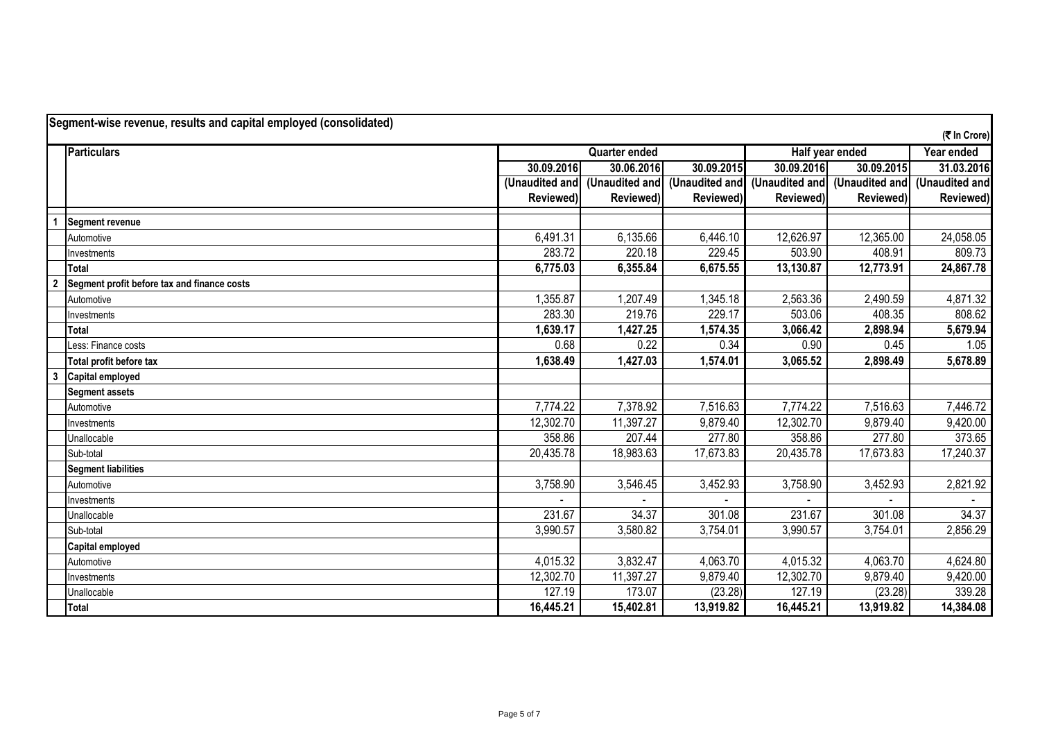|                | Segment-wise revenue, results and capital employed (consolidated) |                |                      |                |            |                               | (₹ In Crore)   |  |
|----------------|-------------------------------------------------------------------|----------------|----------------------|----------------|------------|-------------------------------|----------------|--|
|                | Particulars                                                       |                | <b>Quarter ended</b> |                |            | Half year ended               |                |  |
|                |                                                                   | 30.09.2016     | 30.06.2016           | 30.09.2015     | 30.09.2016 | 30.09.2015                    | 31.03.2016     |  |
|                |                                                                   | (Unaudited and | (Unaudited and       | (Unaudited and |            | (Unaudited and (Unaudited and | (Unaudited and |  |
|                |                                                                   | Reviewed)      | Reviewed)            | Reviewed)      | Reviewed)  | Reviewed)                     | Reviewed)      |  |
|                | <b>Segment revenue</b>                                            |                |                      |                |            |                               |                |  |
|                | Automotive                                                        | 6,491.31       | 6,135.66             | 6,446.10       | 12,626.97  | 12,365.00                     | 24,058.05      |  |
|                | Investments                                                       | 283.72         | 220.18               | 229.45         | 503.90     | 408.91                        | 809.73         |  |
|                | Total                                                             | 6,775.03       | 6,355.84             | 6,675.55       | 13,130.87  | 12,773.91                     | 24,867.78      |  |
| $\overline{2}$ | Segment profit before tax and finance costs                       |                |                      |                |            |                               |                |  |
|                | Automotive                                                        | 1,355.87       | 1,207.49             | 1,345.18       | 2,563.36   | 2,490.59                      | 4,871.32       |  |
|                | Investments                                                       | 283.30         | 219.76               | 229.17         | 503.06     | 408.35                        | 808.62         |  |
|                | Total                                                             | 1,639.17       | 1,427.25             | 1,574.35       | 3,066.42   | 2,898.94                      | 5,679.94       |  |
|                | Less: Finance costs                                               | 0.68           | 0.22                 | 0.34           | 0.90       | 0.45                          | 1.05           |  |
|                | Total profit before tax                                           | 1,638.49       | 1,427.03             | 1,574.01       | 3,065.52   | 2,898.49                      | 5,678.89       |  |
| 3              | <b>Capital employed</b>                                           |                |                      |                |            |                               |                |  |
|                | <b>Segment assets</b>                                             |                |                      |                |            |                               |                |  |
|                | Automotive                                                        | 7,774.22       | 7,378.92             | 7,516.63       | 7,774.22   | 7,516.63                      | 7,446.72       |  |
|                | Investments                                                       | 12,302.70      | 11,397.27            | 9,879.40       | 12,302.70  | 9,879.40                      | 9,420.00       |  |
|                | Unallocable                                                       | 358.86         | 207.44               | 277.80         | 358.86     | 277.80                        | 373.65         |  |
|                | Sub-total                                                         | 20,435.78      | 18,983.63            | 17,673.83      | 20,435.78  | 17,673.83                     | 17,240.37      |  |
|                | <b>Segment liabilities</b>                                        |                |                      |                |            |                               |                |  |
|                | Automotive                                                        | 3,758.90       | 3,546.45             | 3,452.93       | 3,758.90   | 3,452.93                      | 2,821.92       |  |
|                | Investments                                                       |                |                      |                |            |                               |                |  |
|                | Unallocable                                                       | 231.67         | 34.37                | 301.08         | 231.67     | 301.08                        | 34.37          |  |
|                | Sub-total                                                         | 3,990.57       | 3,580.82             | 3,754.01       | 3,990.57   | 3,754.01                      | 2,856.29       |  |
|                | <b>Capital employed</b>                                           |                |                      |                |            |                               |                |  |
|                | Automotive                                                        | 4,015.32       | 3,832.47             | 4,063.70       | 4,015.32   | 4,063.70                      | 4,624.80       |  |
|                | Investments                                                       | 12,302.70      | 11,397.27            | 9,879.40       | 12,302.70  | 9,879.40                      | 9,420.00       |  |
|                | Unallocable                                                       | 127.19         | 173.07               | (23.28)        | 127.19     | (23.28)                       | 339.28         |  |
|                | Total                                                             | 16,445.21      | 15,402.81            | 13,919.82      | 16,445.21  | 13,919.82                     | 14,384.08      |  |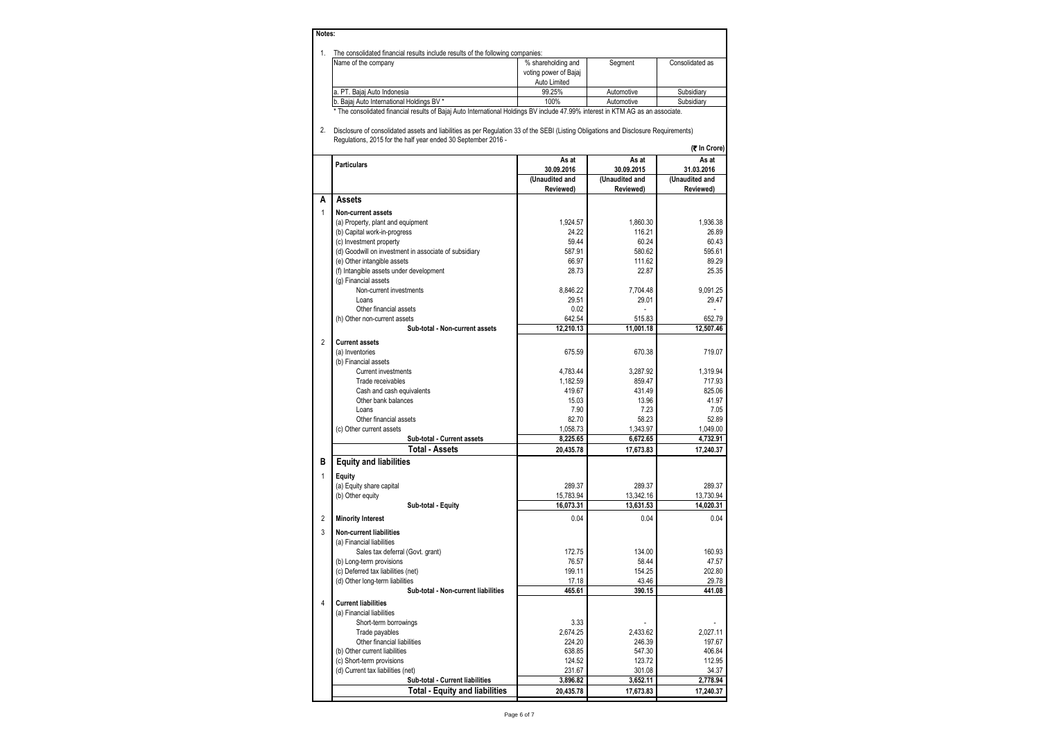### **Notes:**

|  | The consolidated financial results include results of the following companies: |  |
|--|--------------------------------------------------------------------------------|--|
|--|--------------------------------------------------------------------------------|--|

| . השפה השפה היה היה ידעיה שונים וכי שהשפט ו שמשהטה ועומדים השפה המהירה ומשהיה שטורה שטורה שירו                                  |                       |            |                 |  |  |  |  |
|---------------------------------------------------------------------------------------------------------------------------------|-----------------------|------------|-----------------|--|--|--|--|
| Name of the company                                                                                                             | % shareholding and    | Segment    | Consolidated as |  |  |  |  |
|                                                                                                                                 | voting power of Bajaj |            |                 |  |  |  |  |
|                                                                                                                                 | Auto Limited          |            |                 |  |  |  |  |
| a. PT. Bajaj Auto Indonesia                                                                                                     | 99.25%                | Automotive | Subsidiary      |  |  |  |  |
| b. Bajaj Auto International Holdings BV *                                                                                       | 100%                  | Automotive | Subsidiary      |  |  |  |  |
| * The consolidated financial results of Bajaj Auto International Holdings BV include 47.99% interest in KTM AG as an associate. |                       |            |                 |  |  |  |  |

2. Disclosure of consolidated assets and liabilities as per Regulation 33 of the SEBI (Listing Obligations and Disclosure Requirements) Regulations, 2015 for the half year ended 30 September 2016 -

| (₹ In Crore) |
|--------------|
|              |

| As at<br>As at<br>As at<br><b>Particulars</b><br>30.09.2016<br>30.09.2015<br>31.03.2016<br>(Unaudited and<br>(Unaudited and<br>(Unaudited and<br>Reviewed)<br>Reviewed)<br>Reviewed)<br>A<br><b>Assets</b><br>1<br>Non-current assets<br>1.924.57<br>1.860.30<br>(a) Property, plant and equipment<br>116.21<br>(b) Capital work-in-progress<br>24.22<br>59.44<br>60.24<br>(c) Investment property<br>587.91<br>580.62<br>(d) Goodwill on investment in associate of subsidiary<br>(e) Other intangible assets<br>66.97<br>111.62<br>(f) Intangible assets under development<br>28.73<br>22.87<br>(g) Financial assets<br>Non-current investments<br>7.704.48<br>8.846.22<br>29.01<br>Loans<br>29.51<br>Other financial assets<br>0.02<br>(h) Other non-current assets<br>642.54<br>515.83<br>652.79<br>12,210.13<br>11,001.18<br>12,507.46<br>Sub-total - Non-current assets<br>$\overline{2}$<br><b>Current assets</b><br>(a) Inventories<br>675.59<br>670.38<br>(b) Financial assets<br>4,783.44<br>3,287.92<br>Current investments<br>Trade receivables<br>1.182.59<br>859.47<br>419.67<br>431.49<br>825.06<br>Cash and cash equivalents<br>13.96<br>Other bank balances<br>15.03<br>41.97<br>Loans<br>7.90<br>7.23<br>7.05<br>52.89<br>82.70<br>58.23<br>Other financial assets<br>(c) Other current assets<br>1,058.73<br>1,343.97<br>1,049.00<br>8,225.65<br>6,672.65<br>4,732.91<br>Sub-total - Current assets<br><b>Total - Assets</b><br>20,435.78<br>17,673.83<br>17,240.37<br>B<br><b>Equity and liabilities</b><br>1<br>Equity<br>289.37<br>(a) Equity share capital<br>289.37<br>289.37<br>15,783.94<br>13,730.94<br>(b) Other equity<br>13,342.16<br>16,073.31<br>13,631.53<br>Sub-total - Equity<br>$\overline{2}$<br>0.04<br><b>Minority Interest</b><br>0.04<br>3<br><b>Non-current liabilities</b><br>(a) Financial liabilities<br>172.75<br>134.00<br>Sales tax deferral (Govt. grant)<br>76.57<br>58.44<br>(b) Long-term provisions<br>(c) Deferred tax liabilities (net)<br>154.25<br>202.80<br>199.11<br>(d) Other long-term liabilities<br>17.18<br>43.46<br>29.78<br>465.61<br>390.15<br>441.08<br>Sub-total - Non-current liabilities<br>4<br><b>Current liabilities</b><br>(a) Financial liabilities<br>3.33<br>Short-term borrowings<br>2,674.25<br>2.027.11<br>Trade payables<br>2,433.62<br>Other financial liabilities<br>224.20<br>246.39<br>197.67<br>(b) Other current liabilities<br>547.30<br>406.84<br>638.85<br>123.72<br>112.95<br>(c) Short-term provisions<br>124.52<br>(d) Current tax liabilities (net)<br>231.67<br>301.08<br>34.37<br>3,652.11<br>2,778.94<br>Sub-total - Current liabilities<br>3,896.82<br><b>Total - Equity and liabilities</b><br>20,435.78<br>17,673.83<br>17,240.37 |  |  |           |
|----------------------------------------------------------------------------------------------------------------------------------------------------------------------------------------------------------------------------------------------------------------------------------------------------------------------------------------------------------------------------------------------------------------------------------------------------------------------------------------------------------------------------------------------------------------------------------------------------------------------------------------------------------------------------------------------------------------------------------------------------------------------------------------------------------------------------------------------------------------------------------------------------------------------------------------------------------------------------------------------------------------------------------------------------------------------------------------------------------------------------------------------------------------------------------------------------------------------------------------------------------------------------------------------------------------------------------------------------------------------------------------------------------------------------------------------------------------------------------------------------------------------------------------------------------------------------------------------------------------------------------------------------------------------------------------------------------------------------------------------------------------------------------------------------------------------------------------------------------------------------------------------------------------------------------------------------------------------------------------------------------------------------------------------------------------------------------------------------------------------------------------------------------------------------------------------------------------------------------------------------------------------------------------------------------------------------------------------------------------------------------------------------------------------------------------------------------------------------------------------------------------------------------------------------------------------------------------------------------------------------------------------------------------------------------------------------------------------------------------|--|--|-----------|
|                                                                                                                                                                                                                                                                                                                                                                                                                                                                                                                                                                                                                                                                                                                                                                                                                                                                                                                                                                                                                                                                                                                                                                                                                                                                                                                                                                                                                                                                                                                                                                                                                                                                                                                                                                                                                                                                                                                                                                                                                                                                                                                                                                                                                                                                                                                                                                                                                                                                                                                                                                                                                                                                                                                                        |  |  |           |
|                                                                                                                                                                                                                                                                                                                                                                                                                                                                                                                                                                                                                                                                                                                                                                                                                                                                                                                                                                                                                                                                                                                                                                                                                                                                                                                                                                                                                                                                                                                                                                                                                                                                                                                                                                                                                                                                                                                                                                                                                                                                                                                                                                                                                                                                                                                                                                                                                                                                                                                                                                                                                                                                                                                                        |  |  |           |
|                                                                                                                                                                                                                                                                                                                                                                                                                                                                                                                                                                                                                                                                                                                                                                                                                                                                                                                                                                                                                                                                                                                                                                                                                                                                                                                                                                                                                                                                                                                                                                                                                                                                                                                                                                                                                                                                                                                                                                                                                                                                                                                                                                                                                                                                                                                                                                                                                                                                                                                                                                                                                                                                                                                                        |  |  |           |
|                                                                                                                                                                                                                                                                                                                                                                                                                                                                                                                                                                                                                                                                                                                                                                                                                                                                                                                                                                                                                                                                                                                                                                                                                                                                                                                                                                                                                                                                                                                                                                                                                                                                                                                                                                                                                                                                                                                                                                                                                                                                                                                                                                                                                                                                                                                                                                                                                                                                                                                                                                                                                                                                                                                                        |  |  |           |
|                                                                                                                                                                                                                                                                                                                                                                                                                                                                                                                                                                                                                                                                                                                                                                                                                                                                                                                                                                                                                                                                                                                                                                                                                                                                                                                                                                                                                                                                                                                                                                                                                                                                                                                                                                                                                                                                                                                                                                                                                                                                                                                                                                                                                                                                                                                                                                                                                                                                                                                                                                                                                                                                                                                                        |  |  | 1.936.38  |
|                                                                                                                                                                                                                                                                                                                                                                                                                                                                                                                                                                                                                                                                                                                                                                                                                                                                                                                                                                                                                                                                                                                                                                                                                                                                                                                                                                                                                                                                                                                                                                                                                                                                                                                                                                                                                                                                                                                                                                                                                                                                                                                                                                                                                                                                                                                                                                                                                                                                                                                                                                                                                                                                                                                                        |  |  | 26.89     |
|                                                                                                                                                                                                                                                                                                                                                                                                                                                                                                                                                                                                                                                                                                                                                                                                                                                                                                                                                                                                                                                                                                                                                                                                                                                                                                                                                                                                                                                                                                                                                                                                                                                                                                                                                                                                                                                                                                                                                                                                                                                                                                                                                                                                                                                                                                                                                                                                                                                                                                                                                                                                                                                                                                                                        |  |  | 60.43     |
|                                                                                                                                                                                                                                                                                                                                                                                                                                                                                                                                                                                                                                                                                                                                                                                                                                                                                                                                                                                                                                                                                                                                                                                                                                                                                                                                                                                                                                                                                                                                                                                                                                                                                                                                                                                                                                                                                                                                                                                                                                                                                                                                                                                                                                                                                                                                                                                                                                                                                                                                                                                                                                                                                                                                        |  |  | 595.61    |
|                                                                                                                                                                                                                                                                                                                                                                                                                                                                                                                                                                                                                                                                                                                                                                                                                                                                                                                                                                                                                                                                                                                                                                                                                                                                                                                                                                                                                                                                                                                                                                                                                                                                                                                                                                                                                                                                                                                                                                                                                                                                                                                                                                                                                                                                                                                                                                                                                                                                                                                                                                                                                                                                                                                                        |  |  | 89.29     |
|                                                                                                                                                                                                                                                                                                                                                                                                                                                                                                                                                                                                                                                                                                                                                                                                                                                                                                                                                                                                                                                                                                                                                                                                                                                                                                                                                                                                                                                                                                                                                                                                                                                                                                                                                                                                                                                                                                                                                                                                                                                                                                                                                                                                                                                                                                                                                                                                                                                                                                                                                                                                                                                                                                                                        |  |  | 25.35     |
|                                                                                                                                                                                                                                                                                                                                                                                                                                                                                                                                                                                                                                                                                                                                                                                                                                                                                                                                                                                                                                                                                                                                                                                                                                                                                                                                                                                                                                                                                                                                                                                                                                                                                                                                                                                                                                                                                                                                                                                                                                                                                                                                                                                                                                                                                                                                                                                                                                                                                                                                                                                                                                                                                                                                        |  |  |           |
|                                                                                                                                                                                                                                                                                                                                                                                                                                                                                                                                                                                                                                                                                                                                                                                                                                                                                                                                                                                                                                                                                                                                                                                                                                                                                                                                                                                                                                                                                                                                                                                                                                                                                                                                                                                                                                                                                                                                                                                                                                                                                                                                                                                                                                                                                                                                                                                                                                                                                                                                                                                                                                                                                                                                        |  |  | 9.091.25  |
|                                                                                                                                                                                                                                                                                                                                                                                                                                                                                                                                                                                                                                                                                                                                                                                                                                                                                                                                                                                                                                                                                                                                                                                                                                                                                                                                                                                                                                                                                                                                                                                                                                                                                                                                                                                                                                                                                                                                                                                                                                                                                                                                                                                                                                                                                                                                                                                                                                                                                                                                                                                                                                                                                                                                        |  |  | 29.47     |
|                                                                                                                                                                                                                                                                                                                                                                                                                                                                                                                                                                                                                                                                                                                                                                                                                                                                                                                                                                                                                                                                                                                                                                                                                                                                                                                                                                                                                                                                                                                                                                                                                                                                                                                                                                                                                                                                                                                                                                                                                                                                                                                                                                                                                                                                                                                                                                                                                                                                                                                                                                                                                                                                                                                                        |  |  |           |
|                                                                                                                                                                                                                                                                                                                                                                                                                                                                                                                                                                                                                                                                                                                                                                                                                                                                                                                                                                                                                                                                                                                                                                                                                                                                                                                                                                                                                                                                                                                                                                                                                                                                                                                                                                                                                                                                                                                                                                                                                                                                                                                                                                                                                                                                                                                                                                                                                                                                                                                                                                                                                                                                                                                                        |  |  |           |
|                                                                                                                                                                                                                                                                                                                                                                                                                                                                                                                                                                                                                                                                                                                                                                                                                                                                                                                                                                                                                                                                                                                                                                                                                                                                                                                                                                                                                                                                                                                                                                                                                                                                                                                                                                                                                                                                                                                                                                                                                                                                                                                                                                                                                                                                                                                                                                                                                                                                                                                                                                                                                                                                                                                                        |  |  |           |
|                                                                                                                                                                                                                                                                                                                                                                                                                                                                                                                                                                                                                                                                                                                                                                                                                                                                                                                                                                                                                                                                                                                                                                                                                                                                                                                                                                                                                                                                                                                                                                                                                                                                                                                                                                                                                                                                                                                                                                                                                                                                                                                                                                                                                                                                                                                                                                                                                                                                                                                                                                                                                                                                                                                                        |  |  |           |
|                                                                                                                                                                                                                                                                                                                                                                                                                                                                                                                                                                                                                                                                                                                                                                                                                                                                                                                                                                                                                                                                                                                                                                                                                                                                                                                                                                                                                                                                                                                                                                                                                                                                                                                                                                                                                                                                                                                                                                                                                                                                                                                                                                                                                                                                                                                                                                                                                                                                                                                                                                                                                                                                                                                                        |  |  | 719.07    |
|                                                                                                                                                                                                                                                                                                                                                                                                                                                                                                                                                                                                                                                                                                                                                                                                                                                                                                                                                                                                                                                                                                                                                                                                                                                                                                                                                                                                                                                                                                                                                                                                                                                                                                                                                                                                                                                                                                                                                                                                                                                                                                                                                                                                                                                                                                                                                                                                                                                                                                                                                                                                                                                                                                                                        |  |  |           |
|                                                                                                                                                                                                                                                                                                                                                                                                                                                                                                                                                                                                                                                                                                                                                                                                                                                                                                                                                                                                                                                                                                                                                                                                                                                                                                                                                                                                                                                                                                                                                                                                                                                                                                                                                                                                                                                                                                                                                                                                                                                                                                                                                                                                                                                                                                                                                                                                                                                                                                                                                                                                                                                                                                                                        |  |  | 1,319.94  |
|                                                                                                                                                                                                                                                                                                                                                                                                                                                                                                                                                                                                                                                                                                                                                                                                                                                                                                                                                                                                                                                                                                                                                                                                                                                                                                                                                                                                                                                                                                                                                                                                                                                                                                                                                                                                                                                                                                                                                                                                                                                                                                                                                                                                                                                                                                                                                                                                                                                                                                                                                                                                                                                                                                                                        |  |  | 717.93    |
|                                                                                                                                                                                                                                                                                                                                                                                                                                                                                                                                                                                                                                                                                                                                                                                                                                                                                                                                                                                                                                                                                                                                                                                                                                                                                                                                                                                                                                                                                                                                                                                                                                                                                                                                                                                                                                                                                                                                                                                                                                                                                                                                                                                                                                                                                                                                                                                                                                                                                                                                                                                                                                                                                                                                        |  |  |           |
|                                                                                                                                                                                                                                                                                                                                                                                                                                                                                                                                                                                                                                                                                                                                                                                                                                                                                                                                                                                                                                                                                                                                                                                                                                                                                                                                                                                                                                                                                                                                                                                                                                                                                                                                                                                                                                                                                                                                                                                                                                                                                                                                                                                                                                                                                                                                                                                                                                                                                                                                                                                                                                                                                                                                        |  |  |           |
|                                                                                                                                                                                                                                                                                                                                                                                                                                                                                                                                                                                                                                                                                                                                                                                                                                                                                                                                                                                                                                                                                                                                                                                                                                                                                                                                                                                                                                                                                                                                                                                                                                                                                                                                                                                                                                                                                                                                                                                                                                                                                                                                                                                                                                                                                                                                                                                                                                                                                                                                                                                                                                                                                                                                        |  |  |           |
|                                                                                                                                                                                                                                                                                                                                                                                                                                                                                                                                                                                                                                                                                                                                                                                                                                                                                                                                                                                                                                                                                                                                                                                                                                                                                                                                                                                                                                                                                                                                                                                                                                                                                                                                                                                                                                                                                                                                                                                                                                                                                                                                                                                                                                                                                                                                                                                                                                                                                                                                                                                                                                                                                                                                        |  |  |           |
|                                                                                                                                                                                                                                                                                                                                                                                                                                                                                                                                                                                                                                                                                                                                                                                                                                                                                                                                                                                                                                                                                                                                                                                                                                                                                                                                                                                                                                                                                                                                                                                                                                                                                                                                                                                                                                                                                                                                                                                                                                                                                                                                                                                                                                                                                                                                                                                                                                                                                                                                                                                                                                                                                                                                        |  |  |           |
|                                                                                                                                                                                                                                                                                                                                                                                                                                                                                                                                                                                                                                                                                                                                                                                                                                                                                                                                                                                                                                                                                                                                                                                                                                                                                                                                                                                                                                                                                                                                                                                                                                                                                                                                                                                                                                                                                                                                                                                                                                                                                                                                                                                                                                                                                                                                                                                                                                                                                                                                                                                                                                                                                                                                        |  |  |           |
|                                                                                                                                                                                                                                                                                                                                                                                                                                                                                                                                                                                                                                                                                                                                                                                                                                                                                                                                                                                                                                                                                                                                                                                                                                                                                                                                                                                                                                                                                                                                                                                                                                                                                                                                                                                                                                                                                                                                                                                                                                                                                                                                                                                                                                                                                                                                                                                                                                                                                                                                                                                                                                                                                                                                        |  |  |           |
|                                                                                                                                                                                                                                                                                                                                                                                                                                                                                                                                                                                                                                                                                                                                                                                                                                                                                                                                                                                                                                                                                                                                                                                                                                                                                                                                                                                                                                                                                                                                                                                                                                                                                                                                                                                                                                                                                                                                                                                                                                                                                                                                                                                                                                                                                                                                                                                                                                                                                                                                                                                                                                                                                                                                        |  |  |           |
|                                                                                                                                                                                                                                                                                                                                                                                                                                                                                                                                                                                                                                                                                                                                                                                                                                                                                                                                                                                                                                                                                                                                                                                                                                                                                                                                                                                                                                                                                                                                                                                                                                                                                                                                                                                                                                                                                                                                                                                                                                                                                                                                                                                                                                                                                                                                                                                                                                                                                                                                                                                                                                                                                                                                        |  |  |           |
|                                                                                                                                                                                                                                                                                                                                                                                                                                                                                                                                                                                                                                                                                                                                                                                                                                                                                                                                                                                                                                                                                                                                                                                                                                                                                                                                                                                                                                                                                                                                                                                                                                                                                                                                                                                                                                                                                                                                                                                                                                                                                                                                                                                                                                                                                                                                                                                                                                                                                                                                                                                                                                                                                                                                        |  |  |           |
|                                                                                                                                                                                                                                                                                                                                                                                                                                                                                                                                                                                                                                                                                                                                                                                                                                                                                                                                                                                                                                                                                                                                                                                                                                                                                                                                                                                                                                                                                                                                                                                                                                                                                                                                                                                                                                                                                                                                                                                                                                                                                                                                                                                                                                                                                                                                                                                                                                                                                                                                                                                                                                                                                                                                        |  |  |           |
|                                                                                                                                                                                                                                                                                                                                                                                                                                                                                                                                                                                                                                                                                                                                                                                                                                                                                                                                                                                                                                                                                                                                                                                                                                                                                                                                                                                                                                                                                                                                                                                                                                                                                                                                                                                                                                                                                                                                                                                                                                                                                                                                                                                                                                                                                                                                                                                                                                                                                                                                                                                                                                                                                                                                        |  |  | 14,020.31 |
|                                                                                                                                                                                                                                                                                                                                                                                                                                                                                                                                                                                                                                                                                                                                                                                                                                                                                                                                                                                                                                                                                                                                                                                                                                                                                                                                                                                                                                                                                                                                                                                                                                                                                                                                                                                                                                                                                                                                                                                                                                                                                                                                                                                                                                                                                                                                                                                                                                                                                                                                                                                                                                                                                                                                        |  |  | 0.04      |
|                                                                                                                                                                                                                                                                                                                                                                                                                                                                                                                                                                                                                                                                                                                                                                                                                                                                                                                                                                                                                                                                                                                                                                                                                                                                                                                                                                                                                                                                                                                                                                                                                                                                                                                                                                                                                                                                                                                                                                                                                                                                                                                                                                                                                                                                                                                                                                                                                                                                                                                                                                                                                                                                                                                                        |  |  |           |
|                                                                                                                                                                                                                                                                                                                                                                                                                                                                                                                                                                                                                                                                                                                                                                                                                                                                                                                                                                                                                                                                                                                                                                                                                                                                                                                                                                                                                                                                                                                                                                                                                                                                                                                                                                                                                                                                                                                                                                                                                                                                                                                                                                                                                                                                                                                                                                                                                                                                                                                                                                                                                                                                                                                                        |  |  |           |
|                                                                                                                                                                                                                                                                                                                                                                                                                                                                                                                                                                                                                                                                                                                                                                                                                                                                                                                                                                                                                                                                                                                                                                                                                                                                                                                                                                                                                                                                                                                                                                                                                                                                                                                                                                                                                                                                                                                                                                                                                                                                                                                                                                                                                                                                                                                                                                                                                                                                                                                                                                                                                                                                                                                                        |  |  | 160.93    |
|                                                                                                                                                                                                                                                                                                                                                                                                                                                                                                                                                                                                                                                                                                                                                                                                                                                                                                                                                                                                                                                                                                                                                                                                                                                                                                                                                                                                                                                                                                                                                                                                                                                                                                                                                                                                                                                                                                                                                                                                                                                                                                                                                                                                                                                                                                                                                                                                                                                                                                                                                                                                                                                                                                                                        |  |  | 47.57     |
|                                                                                                                                                                                                                                                                                                                                                                                                                                                                                                                                                                                                                                                                                                                                                                                                                                                                                                                                                                                                                                                                                                                                                                                                                                                                                                                                                                                                                                                                                                                                                                                                                                                                                                                                                                                                                                                                                                                                                                                                                                                                                                                                                                                                                                                                                                                                                                                                                                                                                                                                                                                                                                                                                                                                        |  |  |           |
|                                                                                                                                                                                                                                                                                                                                                                                                                                                                                                                                                                                                                                                                                                                                                                                                                                                                                                                                                                                                                                                                                                                                                                                                                                                                                                                                                                                                                                                                                                                                                                                                                                                                                                                                                                                                                                                                                                                                                                                                                                                                                                                                                                                                                                                                                                                                                                                                                                                                                                                                                                                                                                                                                                                                        |  |  |           |
|                                                                                                                                                                                                                                                                                                                                                                                                                                                                                                                                                                                                                                                                                                                                                                                                                                                                                                                                                                                                                                                                                                                                                                                                                                                                                                                                                                                                                                                                                                                                                                                                                                                                                                                                                                                                                                                                                                                                                                                                                                                                                                                                                                                                                                                                                                                                                                                                                                                                                                                                                                                                                                                                                                                                        |  |  |           |
|                                                                                                                                                                                                                                                                                                                                                                                                                                                                                                                                                                                                                                                                                                                                                                                                                                                                                                                                                                                                                                                                                                                                                                                                                                                                                                                                                                                                                                                                                                                                                                                                                                                                                                                                                                                                                                                                                                                                                                                                                                                                                                                                                                                                                                                                                                                                                                                                                                                                                                                                                                                                                                                                                                                                        |  |  |           |
|                                                                                                                                                                                                                                                                                                                                                                                                                                                                                                                                                                                                                                                                                                                                                                                                                                                                                                                                                                                                                                                                                                                                                                                                                                                                                                                                                                                                                                                                                                                                                                                                                                                                                                                                                                                                                                                                                                                                                                                                                                                                                                                                                                                                                                                                                                                                                                                                                                                                                                                                                                                                                                                                                                                                        |  |  |           |
|                                                                                                                                                                                                                                                                                                                                                                                                                                                                                                                                                                                                                                                                                                                                                                                                                                                                                                                                                                                                                                                                                                                                                                                                                                                                                                                                                                                                                                                                                                                                                                                                                                                                                                                                                                                                                                                                                                                                                                                                                                                                                                                                                                                                                                                                                                                                                                                                                                                                                                                                                                                                                                                                                                                                        |  |  |           |
|                                                                                                                                                                                                                                                                                                                                                                                                                                                                                                                                                                                                                                                                                                                                                                                                                                                                                                                                                                                                                                                                                                                                                                                                                                                                                                                                                                                                                                                                                                                                                                                                                                                                                                                                                                                                                                                                                                                                                                                                                                                                                                                                                                                                                                                                                                                                                                                                                                                                                                                                                                                                                                                                                                                                        |  |  |           |
|                                                                                                                                                                                                                                                                                                                                                                                                                                                                                                                                                                                                                                                                                                                                                                                                                                                                                                                                                                                                                                                                                                                                                                                                                                                                                                                                                                                                                                                                                                                                                                                                                                                                                                                                                                                                                                                                                                                                                                                                                                                                                                                                                                                                                                                                                                                                                                                                                                                                                                                                                                                                                                                                                                                                        |  |  |           |
|                                                                                                                                                                                                                                                                                                                                                                                                                                                                                                                                                                                                                                                                                                                                                                                                                                                                                                                                                                                                                                                                                                                                                                                                                                                                                                                                                                                                                                                                                                                                                                                                                                                                                                                                                                                                                                                                                                                                                                                                                                                                                                                                                                                                                                                                                                                                                                                                                                                                                                                                                                                                                                                                                                                                        |  |  |           |
|                                                                                                                                                                                                                                                                                                                                                                                                                                                                                                                                                                                                                                                                                                                                                                                                                                                                                                                                                                                                                                                                                                                                                                                                                                                                                                                                                                                                                                                                                                                                                                                                                                                                                                                                                                                                                                                                                                                                                                                                                                                                                                                                                                                                                                                                                                                                                                                                                                                                                                                                                                                                                                                                                                                                        |  |  |           |
|                                                                                                                                                                                                                                                                                                                                                                                                                                                                                                                                                                                                                                                                                                                                                                                                                                                                                                                                                                                                                                                                                                                                                                                                                                                                                                                                                                                                                                                                                                                                                                                                                                                                                                                                                                                                                                                                                                                                                                                                                                                                                                                                                                                                                                                                                                                                                                                                                                                                                                                                                                                                                                                                                                                                        |  |  |           |
|                                                                                                                                                                                                                                                                                                                                                                                                                                                                                                                                                                                                                                                                                                                                                                                                                                                                                                                                                                                                                                                                                                                                                                                                                                                                                                                                                                                                                                                                                                                                                                                                                                                                                                                                                                                                                                                                                                                                                                                                                                                                                                                                                                                                                                                                                                                                                                                                                                                                                                                                                                                                                                                                                                                                        |  |  |           |
|                                                                                                                                                                                                                                                                                                                                                                                                                                                                                                                                                                                                                                                                                                                                                                                                                                                                                                                                                                                                                                                                                                                                                                                                                                                                                                                                                                                                                                                                                                                                                                                                                                                                                                                                                                                                                                                                                                                                                                                                                                                                                                                                                                                                                                                                                                                                                                                                                                                                                                                                                                                                                                                                                                                                        |  |  |           |